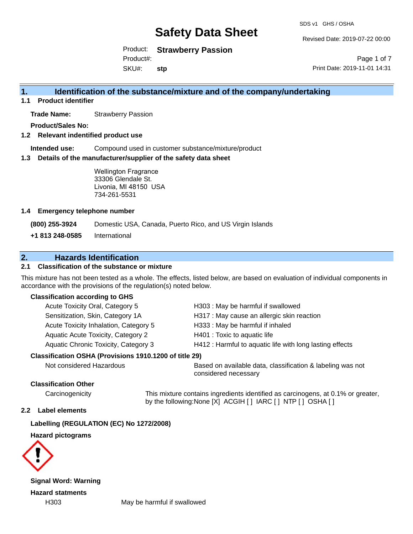Revised Date: 2019-07-22 00:00

Product: **Strawberry Passion**

Product#:

SKU#: **stp**

Page 1 of 7 Print Date: 2019-11-01 14:31

## **1. Identification of the substance/mixture and of the company/undertaking**

**1.1 Product identifier**

**Trade Name:** Strawberry Passion

**Product/Sales No:**

**1.2 Relevant indentified product use**

**Intended use:** Compound used in customer substance/mixture/product

**1.3 Details of the manufacturer/supplier of the safety data sheet**

Wellington Fragrance 33306 Glendale St. Livonia, MI 48150 USA 734-261-5531

#### **1.4 Emergency telephone number**

**(800) 255-3924** Domestic USA, Canada, Puerto Rico, and US Virgin Islands

**+1 813 248-0585** International

## **2. Hazards Identification**

### **2.1 Classification of the substance or mixture**

This mixture has not been tested as a whole. The effects, listed below, are based on evaluation of individual components in accordance with the provisions of the regulation(s) noted below.

#### **Classification according to GHS**

| Acute Toxicity Oral, Category 5                     | H303: May be harmful if swallowed                        |  |
|-----------------------------------------------------|----------------------------------------------------------|--|
| Sensitization, Skin, Category 1A                    | H317 : May cause an allergic skin reaction               |  |
| Acute Toxicity Inhalation, Category 5               | H333: May be harmful if inhaled                          |  |
| Aquatic Acute Toxicity, Category 2                  | H401 : Toxic to aquatic life                             |  |
| Aquatic Chronic Toxicity, Category 3                | H412 : Harmful to aquatic life with long lasting effects |  |
| ssification OSHA (Provisions 1910.1200 of title 29) |                                                          |  |

#### **Classification OSHA (Provisions 1910.1200 of title 29)**

| Not considered Hazardous | Based on available data, classification & labeling was not |
|--------------------------|------------------------------------------------------------|
|                          | considered necessary                                       |

### **Classification Other**

Carcinogenicity This mixture contains ingredients identified as carcinogens, at 0.1% or greater, by the following:None [X] ACGIH [ ] IARC [ ] NTP [ ] OSHA [ ]

#### **2.2 Label elements**

#### **Labelling (REGULATION (EC) No 1272/2008)**

#### **Hazard pictograms**



**Signal Word: Warning Hazard statments**

H303 May be harmful if swallowed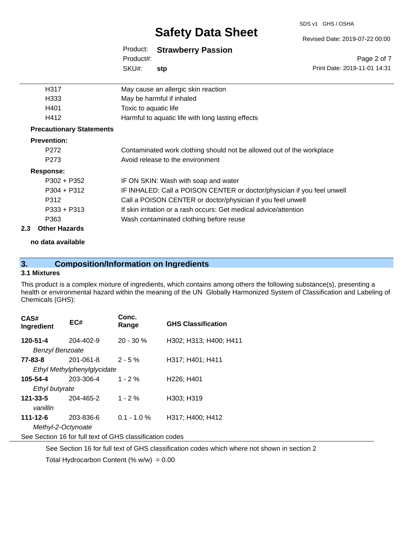#### SDS v1 GHS / OSHA

# **Safety Data Sheet**

#### Revised Date: 2019-07-22 00:00

Page 2 of 7

|           | Product: Strawberry Passion |
|-----------|-----------------------------|
| Product#: |                             |
| SKU#:     | stp                         |

|      | SKU#:<br>stp                                      | Print Date: 2019-11-01 14:31 |
|------|---------------------------------------------------|------------------------------|
| H317 | May cause an allergic skin reaction               |                              |
| H333 | May be harmful if inhaled                         |                              |
| H401 | Toxic to aquatic life                             |                              |
| H412 | Harmful to aquatic life with long lasting effects |                              |
|      |                                                   |                              |

#### **Precautionary Statements**

#### **Prevention:**

| P <sub>272</sub><br>P <sub>273</sub> | Contaminated work clothing should not be allowed out of the workplace<br>Avoid release to the environment |
|--------------------------------------|-----------------------------------------------------------------------------------------------------------|
| Response:                            |                                                                                                           |
| $P302 + P352$                        | IF ON SKIN: Wash with soap and water                                                                      |
| $P304 + P312$                        | IF INHALED: Call a POISON CENTER or doctor/physician if you feel unwell                                   |
| P312                                 | Call a POISON CENTER or doctor/physician if you feel unwell                                               |
| $P333 + P313$                        | If skin irritation or a rash occurs: Get medical advice/attention                                         |
| P363                                 | Wash contaminated clothing before reuse                                                                   |
| Other Hererale                       |                                                                                                           |

#### **2.3 Other Hazards**

**no data available**

## **3. Composition/Information on Ingredients**

#### **3.1 Mixtures**

This product is a complex mixture of ingredients, which contains among others the following substance(s), presenting a health or environmental hazard within the meaning of the UN Globally Harmonized System of Classification and Labeling of Chemicals (GHS):

| CAS#<br>Ingredient                                       | EC#       | Conc.<br>Range | <b>GHS Classification</b>           |  |
|----------------------------------------------------------|-----------|----------------|-------------------------------------|--|
| 120-51-4                                                 | 204-402-9 | $20 - 30 \%$   | H302; H313; H400; H411              |  |
| Benzyl Benzoate                                          |           |                |                                     |  |
| 77-83-8                                                  | 201-061-8 | $2 - 5%$       | H317; H401; H411                    |  |
| Ethyl Methylphenylglycidate                              |           |                |                                     |  |
| 105-54-4                                                 | 203-306-4 | $1 - 2 \%$     | H <sub>226</sub> ; H <sub>401</sub> |  |
| Ethyl butyrate                                           |           |                |                                     |  |
| $121 - 33 - 5$                                           | 204-465-2 | $1 - 2 \%$     | H303: H319                          |  |
| vanillin                                                 |           |                |                                     |  |
| $111 - 12 - 6$                                           | 203-836-6 | $0.1 - 1.0 %$  | H317; H400; H412                    |  |
| Methyl-2-Octynoate                                       |           |                |                                     |  |
| See Section 16 for full text of GHS classification codes |           |                |                                     |  |
|                                                          |           |                |                                     |  |

See Section 16 for full text of GHS classification codes which where not shown in section 2

Total Hydrocarbon Content (%  $w/w$ ) = 0.00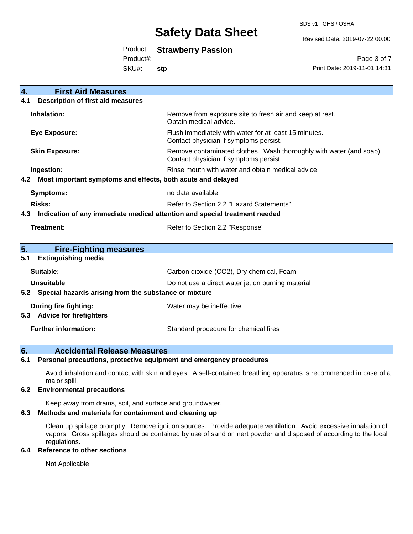SDS v1 GHS / OSHA

Revised Date: 2019-07-22 00:00

| Product: | <b>Strawberry Passion</b> |  |
|----------|---------------------------|--|
|----------|---------------------------|--|

Product#:

SKU#: **stp**

Page 3 of 7 Print Date: 2019-11-01 14:31

| <b>First Aid Measures</b><br>4.                                                   |                                                                                                               |  |
|-----------------------------------------------------------------------------------|---------------------------------------------------------------------------------------------------------------|--|
| <b>Description of first aid measures</b><br>4.1                                   |                                                                                                               |  |
| Inhalation:                                                                       | Remove from exposure site to fresh air and keep at rest.<br>Obtain medical advice.                            |  |
| <b>Eye Exposure:</b>                                                              | Flush immediately with water for at least 15 minutes.<br>Contact physician if symptoms persist.               |  |
| <b>Skin Exposure:</b>                                                             | Remove contaminated clothes. Wash thoroughly with water (and soap).<br>Contact physician if symptoms persist. |  |
| Ingestion:                                                                        | Rinse mouth with water and obtain medical advice.                                                             |  |
| Most important symptoms and effects, both acute and delayed<br>4.2                |                                                                                                               |  |
| <b>Symptoms:</b>                                                                  | no data available                                                                                             |  |
| <b>Risks:</b>                                                                     | Refer to Section 2.2 "Hazard Statements"                                                                      |  |
| Indication of any immediate medical attention and special treatment needed<br>4.3 |                                                                                                               |  |
| Treatment:                                                                        | Refer to Section 2.2 "Response"                                                                               |  |
|                                                                                   |                                                                                                               |  |
| 5.<br><b>Fire-Fighting measures</b>                                               |                                                                                                               |  |
| <b>Extinguishing media</b><br>5.1                                                 |                                                                                                               |  |
| Suitable:                                                                         | Carbon dioxide (CO2), Dry chemical, Foam                                                                      |  |
| <b>Unsuitable</b>                                                                 | Do not use a direct water jet on burning material                                                             |  |
| 5.2 Special hazards arising from the substance or mixture                         |                                                                                                               |  |
| <b>During fire fighting:</b>                                                      | Water may be ineffective                                                                                      |  |
| <b>Advice for firefighters</b><br>5.3                                             |                                                                                                               |  |
| <b>Further information:</b>                                                       | Standard procedure for chemical fires                                                                         |  |

### **6. Accidental Release Measures**

#### **6.1 Personal precautions, protective equipment and emergency procedures**

Avoid inhalation and contact with skin and eyes. A self-contained breathing apparatus is recommended in case of a major spill.

#### **6.2 Environmental precautions**

Keep away from drains, soil, and surface and groundwater.

#### **6.3 Methods and materials for containment and cleaning up**

Clean up spillage promptly. Remove ignition sources. Provide adequate ventilation. Avoid excessive inhalation of vapors. Gross spillages should be contained by use of sand or inert powder and disposed of according to the local regulations.

#### **6.4 Reference to other sections**

Not Applicable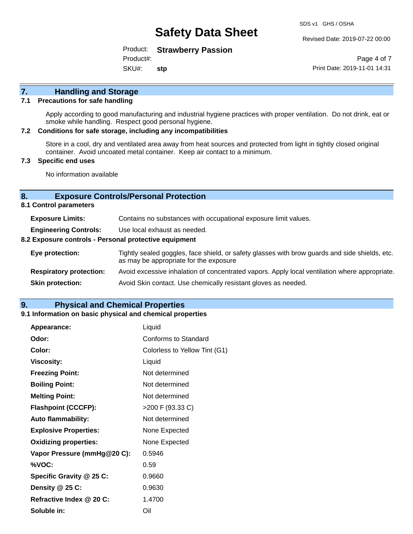Revised Date: 2019-07-22 00:00

Product: **Strawberry Passion**

Product#:

SKU#: **stp**

Page 4 of 7 Print Date: 2019-11-01 14:31

# **7. Handling and Storage**

#### **7.1 Precautions for safe handling**

Apply according to good manufacturing and industrial hygiene practices with proper ventilation. Do not drink, eat or smoke while handling. Respect good personal hygiene.

#### **7.2 Conditions for safe storage, including any incompatibilities**

Store in a cool, dry and ventilated area away from heat sources and protected from light in tightly closed original container. Avoid uncoated metal container. Keep air contact to a minimum.

#### **7.3 Specific end uses**

No information available

#### **8. Exposure Controls/Personal Protection**

**8.1 Control parameters**

| <b>Exposure Limits:</b>                               | Contains no substances with occupational exposure limit values.                                                                          |  |
|-------------------------------------------------------|------------------------------------------------------------------------------------------------------------------------------------------|--|
| <b>Engineering Controls:</b>                          | Use local exhaust as needed.                                                                                                             |  |
| 8.2 Exposure controls - Personal protective equipment |                                                                                                                                          |  |
| Eye protection:                                       | Tightly sealed goggles, face shield, or safety glasses with brow guards and side shields, etc.<br>as may be appropriate for the exposure |  |
| <b>Respiratory protection:</b>                        | Avoid excessive inhalation of concentrated vapors. Apply local ventilation where appropriate.                                            |  |
| <b>Skin protection:</b>                               | Avoid Skin contact. Use chemically resistant gloves as needed.                                                                           |  |

### **9. Physical and Chemical Properties**

#### **9.1 Information on basic physical and chemical properties**

| Appearance:                  | Liquid                        |
|------------------------------|-------------------------------|
| Odor:                        | Conforms to Standard          |
| Color:                       | Colorless to Yellow Tint (G1) |
| <b>Viscosity:</b>            | Liquid                        |
| <b>Freezing Point:</b>       | Not determined                |
| <b>Boiling Point:</b>        | Not determined                |
| <b>Melting Point:</b>        | Not determined                |
| <b>Flashpoint (CCCFP):</b>   | >200 F (93.33 C)              |
| <b>Auto flammability:</b>    | Not determined                |
| <b>Explosive Properties:</b> | None Expected                 |
| <b>Oxidizing properties:</b> | None Expected                 |
| Vapor Pressure (mmHg@20 C):  | 0.5946                        |
| %VOC:                        | 0.59                          |
| Specific Gravity @ 25 C:     | 0.9660                        |
| Density @ 25 C:              | 0.9630                        |
| Refractive Index @ 20 C:     | 1.4700                        |
| Soluble in:                  | Oil                           |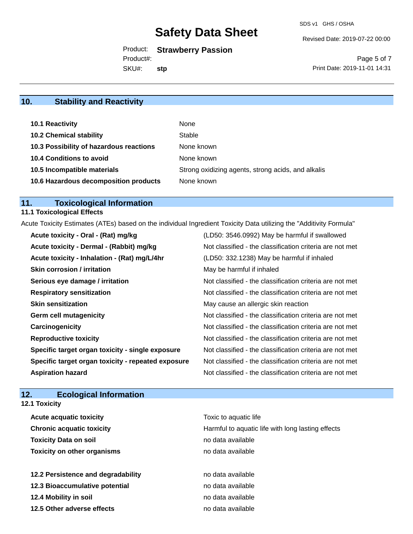Revised Date: 2019-07-22 00:00

Product: **Strawberry Passion**

Product#:

SKU#: **stp**

Page 5 of 7 Print Date: 2019-11-01 14:31

# **10. Stability and Reactivity**

| <b>10.1 Reactivity</b>                  | None                                               |
|-----------------------------------------|----------------------------------------------------|
| <b>10.2 Chemical stability</b>          | Stable                                             |
| 10.3 Possibility of hazardous reactions | None known                                         |
| <b>10.4 Conditions to avoid</b>         | None known                                         |
| 10.5 Incompatible materials             | Strong oxidizing agents, strong acids, and alkalis |
| 10.6 Hazardous decomposition products   | None known                                         |

# **11. Toxicological Information**

### **11.1 Toxicological Effects**

Acute Toxicity Estimates (ATEs) based on the individual Ingredient Toxicity Data utilizing the "Additivity Formula"

| Acute toxicity - Oral - (Rat) mg/kg                | (LD50: 3546.0992) May be harmful if swallowed            |
|----------------------------------------------------|----------------------------------------------------------|
| Acute toxicity - Dermal - (Rabbit) mg/kg           | Not classified - the classification criteria are not met |
| Acute toxicity - Inhalation - (Rat) mg/L/4hr       | (LD50: 332.1238) May be harmful if inhaled               |
| <b>Skin corrosion / irritation</b>                 | May be harmful if inhaled                                |
| Serious eye damage / irritation                    | Not classified - the classification criteria are not met |
| <b>Respiratory sensitization</b>                   | Not classified - the classification criteria are not met |
| <b>Skin sensitization</b>                          | May cause an allergic skin reaction                      |
| <b>Germ cell mutagenicity</b>                      | Not classified - the classification criteria are not met |
| Carcinogenicity                                    | Not classified - the classification criteria are not met |
| <b>Reproductive toxicity</b>                       | Not classified - the classification criteria are not met |
| Specific target organ toxicity - single exposure   | Not classified - the classification criteria are not met |
| Specific target organ toxicity - repeated exposure | Not classified - the classification criteria are not met |
| <b>Aspiration hazard</b>                           | Not classified - the classification criteria are not met |

## **12. Ecological Information**

**12.1 Toxicity**

| <b>Acute acquatic toxicity</b>     | Toxic to aquatic life                             |
|------------------------------------|---------------------------------------------------|
| <b>Chronic acquatic toxicity</b>   | Harmful to aquatic life with long lasting effects |
| <b>Toxicity Data on soil</b>       | no data available                                 |
| <b>Toxicity on other organisms</b> | no data available                                 |
|                                    |                                                   |
| 12.2 Persistence and degradability | no data available                                 |
| 12.3 Bioaccumulative potential     | no data available                                 |
| 12.4 Mobility in soil              | no data available                                 |
| 12.5 Other adverse effects         | no data available                                 |
|                                    |                                                   |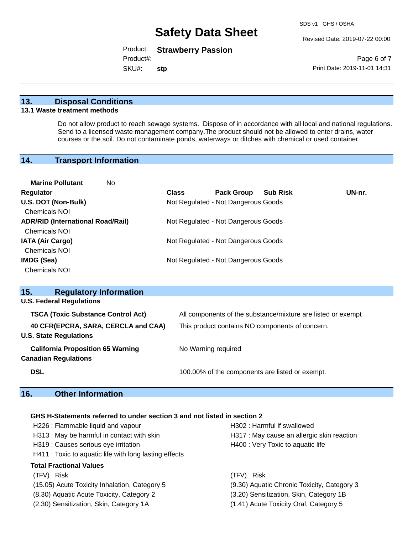Revised Date: 2019-07-22 00:00

Product: **Strawberry Passion**

Product#:

SKU#: **stp**

Page 6 of 7 Print Date: 2019-11-01 14:31

### **13. Disposal Conditions**

#### **13.1 Waste treatment methods**

Do not allow product to reach sewage systems. Dispose of in accordance with all local and national regulations. Send to a licensed waste management company.The product should not be allowed to enter drains, water courses or the soil. Do not contaminate ponds, waterways or ditches with chemical or used container.

## **14. Transport Information**

| <b>Marine Pollutant</b><br>No            |              |                                     |                 |        |
|------------------------------------------|--------------|-------------------------------------|-----------------|--------|
| <b>Regulator</b>                         | <b>Class</b> | <b>Pack Group</b>                   | <b>Sub Risk</b> | UN-nr. |
| U.S. DOT (Non-Bulk)                      |              | Not Regulated - Not Dangerous Goods |                 |        |
| Chemicals NOI                            |              |                                     |                 |        |
| <b>ADR/RID (International Road/Rail)</b> |              | Not Regulated - Not Dangerous Goods |                 |        |
| <b>Chemicals NOI</b>                     |              |                                     |                 |        |
| <b>IATA (Air Cargo)</b>                  |              | Not Regulated - Not Dangerous Goods |                 |        |
| <b>Chemicals NOI</b>                     |              |                                     |                 |        |
| IMDG (Sea)                               |              | Not Regulated - Not Dangerous Goods |                 |        |
| <b>Chemicals NOI</b>                     |              |                                     |                 |        |

| 15.<br><b>Regulatory Information</b>      |                                                              |  |  |  |
|-------------------------------------------|--------------------------------------------------------------|--|--|--|
| <b>U.S. Federal Regulations</b>           |                                                              |  |  |  |
| <b>TSCA (Toxic Substance Control Act)</b> | All components of the substance/mixture are listed or exempt |  |  |  |
| 40 CFR(EPCRA, SARA, CERCLA and CAA)       | This product contains NO components of concern.              |  |  |  |
| <b>U.S. State Regulations</b>             |                                                              |  |  |  |
| <b>California Proposition 65 Warning</b>  | No Warning required                                          |  |  |  |
| <b>Canadian Regulations</b>               |                                                              |  |  |  |
| <b>DSL</b>                                | 100.00% of the components are listed or exempt.              |  |  |  |
|                                           |                                                              |  |  |  |

### **16. Other Information**

### **GHS H-Statements referred to under section 3 and not listed in section 2**

| H226 : Flammable liquid and vapour<br>H313 : May be harmful in contact with skin<br>H319 : Causes serious eye irritation<br>H411 : Toxic to aquatic life with long lasting effects | H302 : Harmful if swallowed<br>H317 : May cause an allergic skin reaction<br>H400 : Very Toxic to aquatic life |  |  |  |
|------------------------------------------------------------------------------------------------------------------------------------------------------------------------------------|----------------------------------------------------------------------------------------------------------------|--|--|--|
| <b>Total Fractional Values</b>                                                                                                                                                     |                                                                                                                |  |  |  |
| (TFV) Risk                                                                                                                                                                         | (TFV) Risk                                                                                                     |  |  |  |
| (15.05) Acute Toxicity Inhalation, Category 5                                                                                                                                      | (9.30) Aquatic Chronic Toxicity, Category 3                                                                    |  |  |  |
| (8.30) Aquatic Acute Toxicity, Category 2                                                                                                                                          | (3.20) Sensitization, Skin, Category 1B                                                                        |  |  |  |
| (2.30) Sensitization, Skin, Category 1A                                                                                                                                            | (1.41) Acute Toxicity Oral, Category 5                                                                         |  |  |  |